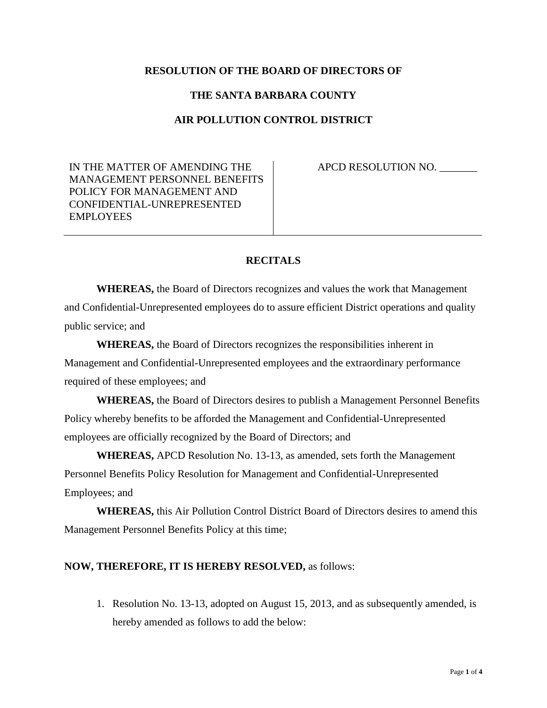## **RESOLUTION OF THE BOARD OF DIRECTORS OF**

## **THE SANTA BARBARA COUNTY**

## **AIR POLLUTION CONTROL DISTRICT**

IN THE MATTER OF AMENDING THE MANAGEMENT PERSONNEL BENEFITS POLICY FOR MANAGEMENT AND CONFIDENTIAL-UNREPRESENTED EMPLOYEES

APCD RESOLUTION NO. \_\_\_\_\_\_\_

## **RECITALS**

**WHEREAS,** the Board of Directors recognizes and values the work that Management and Confidential-Unrepresented employees do to assure efficient District operations and quality public service; and

**WHEREAS,** the Board of Directors recognizes the responsibilities inherent in Management and Confidential-Unrepresented employees and the extraordinary performance required of these employees; and

**WHEREAS,** the Board of Directors desires to publish a Management Personnel Benefits Policy whereby benefits to be afforded the Management and Confidential-Unrepresented employees are officially recognized by the Board of Directors; and

**WHEREAS,** APCD Resolution No. 13-13, as amended, sets forth the Management Personnel Benefits Policy Resolution for Management and Confidential-Unrepresented Employees; and

**WHEREAS,** this Air Pollution Control District Board of Directors desires to amend this Management Personnel Benefits Policy at this time;

#### **NOW, THEREFORE, IT IS HEREBY RESOLVED,** as follows:

1. Resolution No. 13-13, adopted on August 15, 2013, and as subsequently amended, is hereby amended as follows to add the below: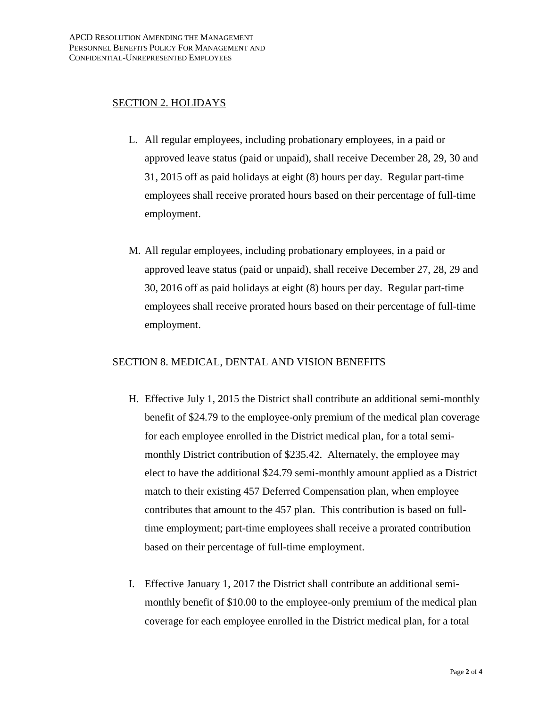## SECTION 2. HOLIDAYS

- L. All regular employees, including probationary employees, in a paid or approved leave status (paid or unpaid), shall receive December 28, 29, 30 and 31, 2015 off as paid holidays at eight (8) hours per day. Regular part-time employees shall receive prorated hours based on their percentage of full-time employment.
- M. All regular employees, including probationary employees, in a paid or approved leave status (paid or unpaid), shall receive December 27, 28, 29 and 30, 2016 off as paid holidays at eight (8) hours per day. Regular part-time employees shall receive prorated hours based on their percentage of full-time employment.

## SECTION 8. MEDICAL, DENTAL AND VISION BENEFITS

- H. Effective July 1, 2015 the District shall contribute an additional semi-monthly benefit of \$24.79 to the employee-only premium of the medical plan coverage for each employee enrolled in the District medical plan, for a total semimonthly District contribution of \$235.42. Alternately, the employee may elect to have the additional \$24.79 semi-monthly amount applied as a District match to their existing 457 Deferred Compensation plan, when employee contributes that amount to the 457 plan. This contribution is based on fulltime employment; part-time employees shall receive a prorated contribution based on their percentage of full-time employment.
- I. Effective January 1, 2017 the District shall contribute an additional semimonthly benefit of \$10.00 to the employee-only premium of the medical plan coverage for each employee enrolled in the District medical plan, for a total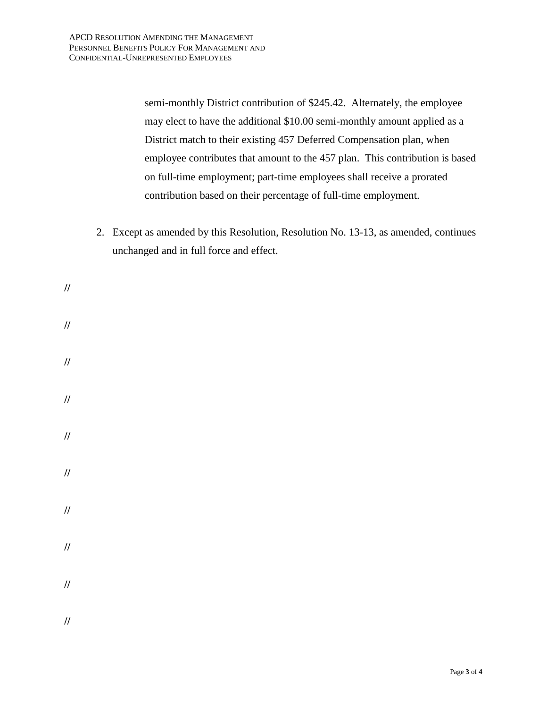semi-monthly District contribution of \$245.42. Alternately, the employee may elect to have the additional \$10.00 semi-monthly amount applied as a District match to their existing 457 Deferred Compensation plan, when employee contributes that amount to the 457 plan. This contribution is based on full-time employment; part-time employees shall receive a prorated contribution based on their percentage of full-time employment.

2. Except as amended by this Resolution, Resolution No. 13-13, as amended, continues unchanged and in full force and effect.

**// // // // // // // // // //**